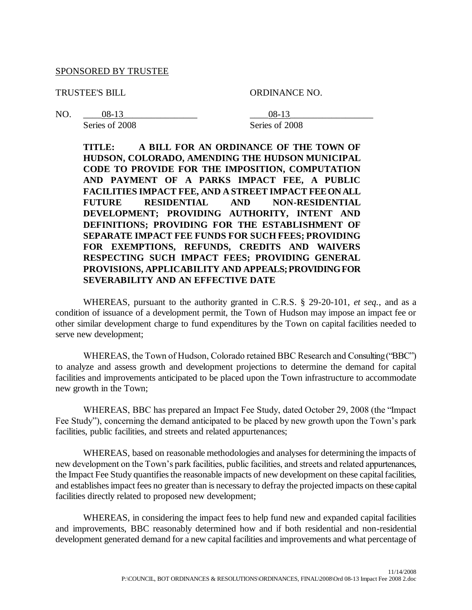#### SPONSORED BY TRUSTEE

TRUSTEE'S BILL ORDINANCE NO.

NO. <u>08-13</u> 208-13

Series of 2008 Series of 2008

**TITLE: A BILL FOR AN ORDINANCE OF THE TOWN OF HUDSON, COLORADO, AMENDING THE HUDSON MUNICIPAL CODE TO PROVIDE FOR THE IMPOSITION, COMPUTATION AND PAYMENT OF A PARKS IMPACT FEE, A PUBLIC FACILITIES IMPACT FEE, AND A STREET IMPACT FEE ON ALL FUTURE RESIDENTIAL AND NON-RESIDENTIAL DEVELOPMENT; PROVIDING AUTHORITY, INTENT AND DEFINITIONS; PROVIDING FOR THE ESTABLISHMENT OF SEPARATE IMPACT FEE FUNDS FOR SUCH FEES; PROVIDING FOR EXEMPTIONS, REFUNDS, CREDITS AND WAIVERS RESPECTING SUCH IMPACT FEES; PROVIDING GENERAL PROVISIONS, APPLICABILITY AND APPEALS; PROVIDING FOR SEVERABILITY AND AN EFFECTIVE DATE**

WHEREAS, pursuant to the authority granted in C.R.S. § 29-20-101, *et seq.*, and as a condition of issuance of a development permit, the Town of Hudson may impose an impact fee or other similar development charge to fund expenditures by the Town on capital facilities needed to serve new development;

WHEREAS, the Town of Hudson, Colorado retained BBC Research and Consulting ("BBC") to analyze and assess growth and development projections to determine the demand for capital facilities and improvements anticipated to be placed upon the Town infrastructure to accommodate new growth in the Town;

WHEREAS, BBC has prepared an Impact Fee Study, dated October 29, 2008 (the "Impact Fee Study"), concerning the demand anticipated to be placed by new growth upon the Town's park facilities, public facilities, and streets and related appurtenances;

WHEREAS, based on reasonable methodologies and analyses for determining the impacts of new development on the Town's park facilities, public facilities, and streets and related appurtenances, the Impact Fee Study quantifies the reasonable impacts of new development on these capital facilities, and establishes impact fees no greater than is necessary to defray the projected impacts on these capital facilities directly related to proposed new development;

WHEREAS, in considering the impact fees to help fund new and expanded capital facilities and improvements, BBC reasonably determined how and if both residential and non-residential development generated demand for a new capital facilities and improvements and what percentage of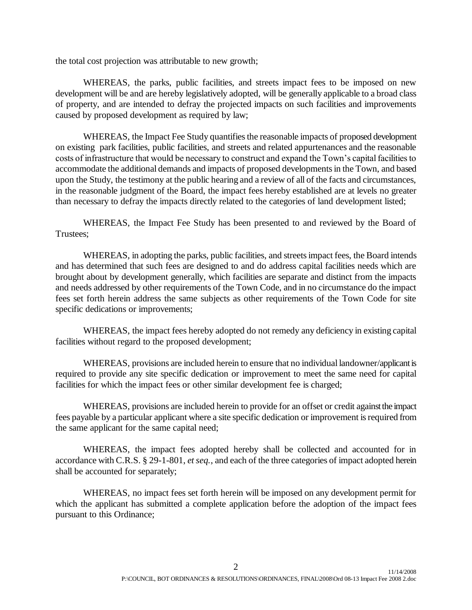the total cost projection was attributable to new growth;

WHEREAS, the parks, public facilities, and streets impact fees to be imposed on new development will be and are hereby legislatively adopted, will be generally applicable to a broad class of property, and are intended to defray the projected impacts on such facilities and improvements caused by proposed development as required by law;

WHEREAS, the Impact Fee Study quantifies the reasonable impacts of proposed development on existing park facilities, public facilities, and streets and related appurtenances and the reasonable costs of infrastructure that would be necessary to construct and expand the Town's capital facilities to accommodate the additional demands and impacts of proposed developments in the Town, and based upon the Study, the testimony at the public hearing and a review of all of the facts and circumstances, in the reasonable judgment of the Board, the impact fees hereby established are at levels no greater than necessary to defray the impacts directly related to the categories of land development listed;

WHEREAS, the Impact Fee Study has been presented to and reviewed by the Board of Trustees;

WHEREAS, in adopting the parks, public facilities, and streets impact fees, the Board intends and has determined that such fees are designed to and do address capital facilities needs which are brought about by development generally, which facilities are separate and distinct from the impacts and needs addressed by other requirements of the Town Code, and in no circumstance do the impact fees set forth herein address the same subjects as other requirements of the Town Code for site specific dedications or improvements;

WHEREAS, the impact fees hereby adopted do not remedy any deficiency in existing capital facilities without regard to the proposed development;

WHEREAS, provisions are included herein to ensure that no individual landowner/applicant is required to provide any site specific dedication or improvement to meet the same need for capital facilities for which the impact fees or other similar development fee is charged;

WHEREAS, provisions are included herein to provide for an offset or credit against the impact fees payable by a particular applicant where a site specific dedication or improvement is required from the same applicant for the same capital need;

WHEREAS, the impact fees adopted hereby shall be collected and accounted for in accordance with C.R.S. § 29-1-801, *et seq.*, and each of the three categories of impact adopted herein shall be accounted for separately;

WHEREAS, no impact fees set forth herein will be imposed on any development permit for which the applicant has submitted a complete application before the adoption of the impact fees pursuant to this Ordinance;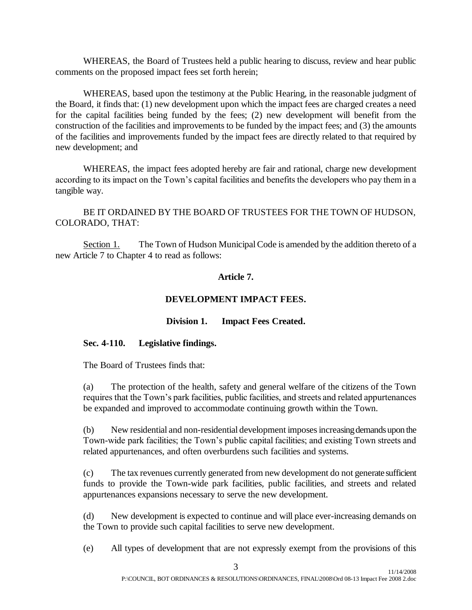WHEREAS, the Board of Trustees held a public hearing to discuss, review and hear public comments on the proposed impact fees set forth herein;

WHEREAS, based upon the testimony at the Public Hearing, in the reasonable judgment of the Board, it finds that: (1) new development upon which the impact fees are charged creates a need for the capital facilities being funded by the fees; (2) new development will benefit from the construction of the facilities and improvements to be funded by the impact fees; and (3) the amounts of the facilities and improvements funded by the impact fees are directly related to that required by new development; and

WHEREAS, the impact fees adopted hereby are fair and rational, charge new development according to its impact on the Town's capital facilities and benefits the developers who pay them in a tangible way.

BE IT ORDAINED BY THE BOARD OF TRUSTEES FOR THE TOWN OF HUDSON, COLORADO, THAT:

Section 1. The Town of Hudson Municipal Code is amended by the addition thereto of a new Article 7 to Chapter 4 to read as follows:

### **Article 7.**

## **DEVELOPMENT IMPACT FEES.**

### **Division 1. Impact Fees Created.**

### **Sec. 4-110. Legislative findings.**

The Board of Trustees finds that:

(a) The protection of the health, safety and general welfare of the citizens of the Town requires that the Town's park facilities, public facilities, and streets and related appurtenances be expanded and improved to accommodate continuing growth within the Town.

(b) New residential and non-residential development imposes increasing demands upon the Town-wide park facilities; the Town's public capital facilities; and existing Town streets and related appurtenances, and often overburdens such facilities and systems.

(c) The tax revenues currently generated from new development do not generate sufficient funds to provide the Town-wide park facilities, public facilities, and streets and related appurtenances expansions necessary to serve the new development.

(d) New development is expected to continue and will place ever-increasing demands on the Town to provide such capital facilities to serve new development.

(e) All types of development that are not expressly exempt from the provisions of this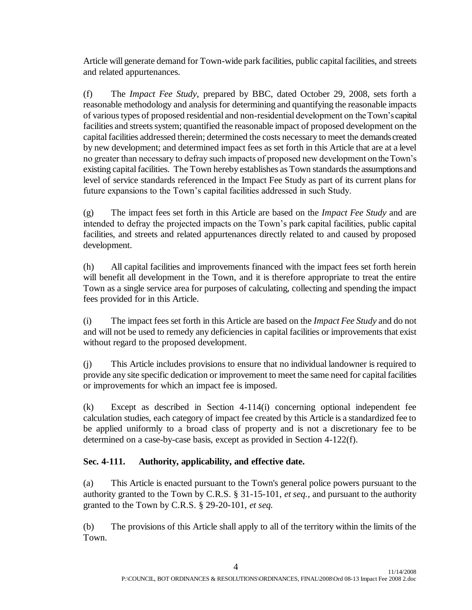Article will generate demand for Town-wide park facilities, public capital facilities, and streets and related appurtenances.

(f) The *Impact Fee Study*, prepared by BBC, dated October 29, 2008, sets forth a reasonable methodology and analysis for determining and quantifying the reasonable impacts of various types of proposed residential and non-residential development on the Town's capital facilities and streets system; quantified the reasonable impact of proposed development on the capital facilities addressed therein; determined the costs necessary to meet the demands created by new development; and determined impact fees as set forth in this Article that are at a level no greater than necessary to defray such impacts of proposed new development on the Town's existing capital facilities. The Town hereby establishes as Town standards the assumptions and level of service standards referenced in the Impact Fee Study as part of its current plans for future expansions to the Town's capital facilities addressed in such Study.

(g) The impact fees set forth in this Article are based on the *Impact Fee Study* and are intended to defray the projected impacts on the Town's park capital facilities, public capital facilities, and streets and related appurtenances directly related to and caused by proposed development.

(h) All capital facilities and improvements financed with the impact fees set forth herein will benefit all development in the Town, and it is therefore appropriate to treat the entire Town as a single service area for purposes of calculating, collecting and spending the impact fees provided for in this Article.

(i) The impact fees set forth in this Article are based on the *Impact Fee Study* and do not and will not be used to remedy any deficiencies in capital facilities or improvements that exist without regard to the proposed development.

(j) This Article includes provisions to ensure that no individual landowner is required to provide any site specific dedication or improvement to meet the same need for capital facilities or improvements for which an impact fee is imposed.

(k) Except as described in Section 4-114(i) concerning optional independent fee calculation studies, each category of impact fee created by this Article is a standardized fee to be applied uniformly to a broad class of property and is not a discretionary fee to be determined on a case-by-case basis, except as provided in Section 4-122(f).

## **Sec. 4-111. Authority, applicability, and effective date.**

(a) This Article is enacted pursuant to the Town's general police powers pursuant to the authority granted to the Town by C.R.S. § 31-15-101, *et seq.,* and pursuant to the authority granted to the Town by C.R.S. § 29-20-101, *et seq.*

(b) The provisions of this Article shall apply to all of the territory within the limits of the Town.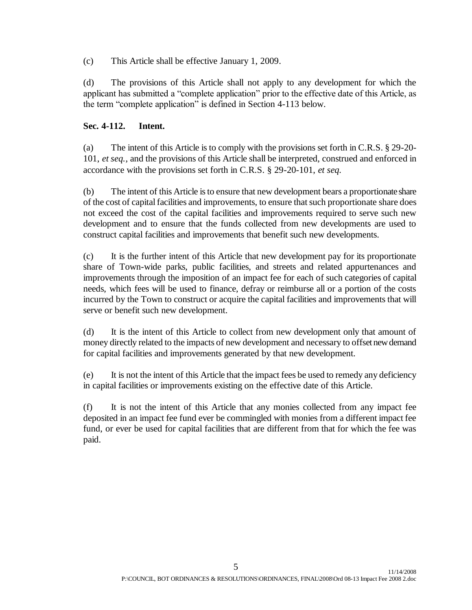(c) This Article shall be effective January 1, 2009.

(d) The provisions of this Article shall not apply to any development for which the applicant has submitted a "complete application" prior to the effective date of this Article, as the term "complete application" is defined in Section 4-113 below.

### **Sec. 4-112. Intent.**

(a) The intent of this Article is to comply with the provisions set forth in C.R.S. § 29-20- 101, *et seq.*, and the provisions of this Article shall be interpreted, construed and enforced in accordance with the provisions set forth in C.R.S. § 29-20-101, *et seq.*

(b) The intent of this Article is to ensure that new development bears a proportionate share of the cost of capital facilities and improvements, to ensure that such proportionate share does not exceed the cost of the capital facilities and improvements required to serve such new development and to ensure that the funds collected from new developments are used to construct capital facilities and improvements that benefit such new developments.

(c) It is the further intent of this Article that new development pay for its proportionate share of Town-wide parks, public facilities, and streets and related appurtenances and improvements through the imposition of an impact fee for each of such categories of capital needs, which fees will be used to finance, defray or reimburse all or a portion of the costs incurred by the Town to construct or acquire the capital facilities and improvements that will serve or benefit such new development.

(d) It is the intent of this Article to collect from new development only that amount of money directly related to the impacts of new development and necessary to offset new demand for capital facilities and improvements generated by that new development.

(e) It is not the intent of this Article that the impact fees be used to remedy any deficiency in capital facilities or improvements existing on the effective date of this Article.

(f) It is not the intent of this Article that any monies collected from any impact fee deposited in an impact fee fund ever be commingled with monies from a different impact fee fund, or ever be used for capital facilities that are different from that for which the fee was paid.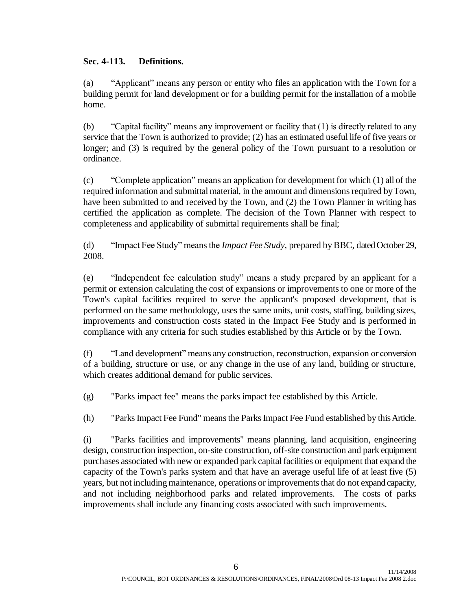### **Sec. 4-113. Definitions.**

(a) "Applicant" means any person or entity who files an application with the Town for a building permit for land development or for a building permit for the installation of a mobile home.

(b) "Capital facility" means any improvement or facility that (1) is directly related to any service that the Town is authorized to provide; (2) has an estimated useful life of five years or longer; and (3) is required by the general policy of the Town pursuant to a resolution or ordinance.

(c) "Complete application" means an application for development for which (1) all of the required information and submittal material, in the amount and dimensions required by Town, have been submitted to and received by the Town, and (2) the Town Planner in writing has certified the application as complete. The decision of the Town Planner with respect to completeness and applicability of submittal requirements shall be final;

(d) "Impact Fee Study" means the *Impact Fee Study*, prepared by BBC, dated October 29, 2008.

(e) "Independent fee calculation study" means a study prepared by an applicant for a permit or extension calculating the cost of expansions or improvements to one or more of the Town's capital facilities required to serve the applicant's proposed development, that is performed on the same methodology, uses the same units, unit costs, staffing, building sizes, improvements and construction costs stated in the Impact Fee Study and is performed in compliance with any criteria for such studies established by this Article or by the Town.

(f) "Land development" means any construction, reconstruction, expansion or conversion of a building, structure or use, or any change in the use of any land, building or structure, which creates additional demand for public services.

(g) "Parks impact fee" means the parks impact fee established by this Article.

(h) "Parks Impact Fee Fund" means the Parks Impact Fee Fund established by this Article.

(i) "Parks facilities and improvements" means planning, land acquisition, engineering design, construction inspection, on-site construction, off-site construction and park equipment purchases associated with new or expanded park capital facilities or equipment that expand the capacity of the Town's parks system and that have an average useful life of at least five (5) years, but not including maintenance, operations or improvements that do not expand capacity, and not including neighborhood parks and related improvements. The costs of parks improvements shall include any financing costs associated with such improvements.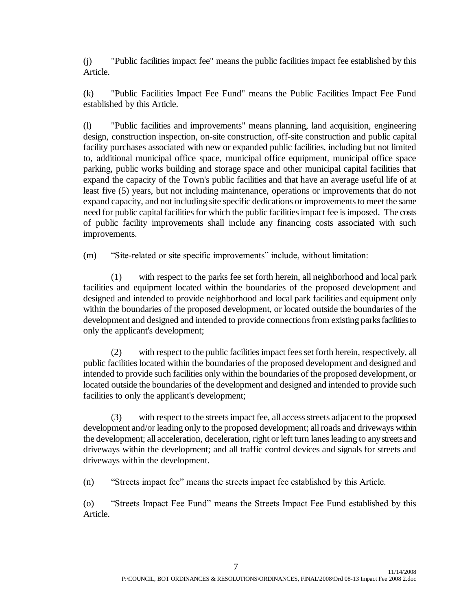(j) "Public facilities impact fee" means the public facilities impact fee established by this Article.

(k) "Public Facilities Impact Fee Fund" means the Public Facilities Impact Fee Fund established by this Article.

(l) "Public facilities and improvements" means planning, land acquisition, engineering design, construction inspection, on-site construction, off-site construction and public capital facility purchases associated with new or expanded public facilities, including but not limited to, additional municipal office space, municipal office equipment, municipal office space parking, public works building and storage space and other municipal capital facilities that expand the capacity of the Town's public facilities and that have an average useful life of at least five (5) years, but not including maintenance, operations or improvements that do not expand capacity, and not including site specific dedications or improvements to meet the same need for public capital facilities for which the public facilities impact fee is imposed. The costs of public facility improvements shall include any financing costs associated with such improvements.

(m) "Site-related or site specific improvements" include, without limitation:

(1) with respect to the parks fee set forth herein, all neighborhood and local park facilities and equipment located within the boundaries of the proposed development and designed and intended to provide neighborhood and local park facilities and equipment only within the boundaries of the proposed development, or located outside the boundaries of the development and designed and intended to provide connections from existing parks facilities to only the applicant's development;

(2) with respect to the public facilities impact fees set forth herein, respectively, all public facilities located within the boundaries of the proposed development and designed and intended to provide such facilities only within the boundaries of the proposed development, or located outside the boundaries of the development and designed and intended to provide such facilities to only the applicant's development;

(3) with respect to the streets impact fee, all access streets adjacent to the proposed development and/or leading only to the proposed development; all roads and driveways within the development; all acceleration, deceleration, right or left turn lanes leading to any streets and driveways within the development; and all traffic control devices and signals for streets and driveways within the development.

(n) "Streets impact fee" means the streets impact fee established by this Article.

(o) "Streets Impact Fee Fund" means the Streets Impact Fee Fund established by this Article.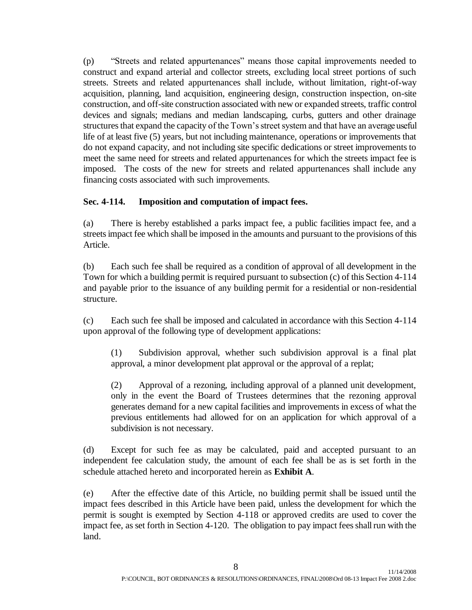(p) "Streets and related appurtenances" means those capital improvements needed to construct and expand arterial and collector streets, excluding local street portions of such streets. Streets and related appurtenances shall include, without limitation, right-of-way acquisition, planning, land acquisition, engineering design, construction inspection, on-site construction, and off-site construction associated with new or expanded streets, traffic control devices and signals; medians and median landscaping, curbs, gutters and other drainage structures that expand the capacity of the Town's street system and that have an average useful life of at least five (5) years, but not including maintenance, operations or improvements that do not expand capacity, and not including site specific dedications or street improvements to meet the same need for streets and related appurtenances for which the streets impact fee is imposed. The costs of the new for streets and related appurtenances shall include any financing costs associated with such improvements.

## **Sec. 4-114. Imposition and computation of impact fees.**

(a) There is hereby established a parks impact fee, a public facilities impact fee, and a streets impact fee which shall be imposed in the amounts and pursuant to the provisions of this Article.

(b) Each such fee shall be required as a condition of approval of all development in the Town for which a building permit is required pursuant to subsection (c) of this Section 4-114 and payable prior to the issuance of any building permit for a residential or non-residential structure.

(c) Each such fee shall be imposed and calculated in accordance with this Section 4-114 upon approval of the following type of development applications:

(1) Subdivision approval, whether such subdivision approval is a final plat approval, a minor development plat approval or the approval of a replat;

(2) Approval of a rezoning, including approval of a planned unit development, only in the event the Board of Trustees determines that the rezoning approval generates demand for a new capital facilities and improvements in excess of what the previous entitlements had allowed for on an application for which approval of a subdivision is not necessary.

(d) Except for such fee as may be calculated, paid and accepted pursuant to an independent fee calculation study, the amount of each fee shall be as is set forth in the schedule attached hereto and incorporated herein as **Exhibit A**.

(e) After the effective date of this Article, no building permit shall be issued until the impact fees described in this Article have been paid, unless the development for which the permit is sought is exempted by Section 4-118 or approved credits are used to cover the impact fee, as set forth in Section 4-120. The obligation to pay impact fees shall run with the land.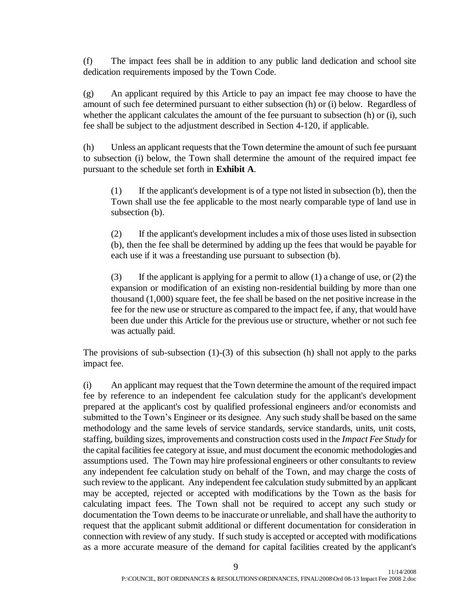(f) The impact fees shall be in addition to any public land dedication and school site dedication requirements imposed by the Town Code.

(g) An applicant required by this Article to pay an impact fee may choose to have the amount of such fee determined pursuant to either subsection (h) or (i) below. Regardless of whether the applicant calculates the amount of the fee pursuant to subsection (h) or (i), such fee shall be subject to the adjustment described in Section 4-120, if applicable.

(h) Unless an applicant requests that the Town determine the amount of such fee pursuant to subsection (i) below, the Town shall determine the amount of the required impact fee pursuant to the schedule set forth in **Exhibit A**.

(1) If the applicant's development is of a type not listed in subsection (b), then the Town shall use the fee applicable to the most nearly comparable type of land use in subsection (b).

(2) If the applicant's development includes a mix of those uses listed in subsection (b), then the fee shall be determined by adding up the fees that would be payable for each use if it was a freestanding use pursuant to subsection (b).

(3) If the applicant is applying for a permit to allow (1) a change of use, or (2) the expansion or modification of an existing non-residential building by more than one thousand (1,000) square feet, the fee shall be based on the net positive increase in the fee for the new use or structure as compared to the impact fee, if any, that would have been due under this Article for the previous use or structure, whether or not such fee was actually paid.

The provisions of sub-subsection  $(1)-(3)$  of this subsection  $(h)$  shall not apply to the parks impact fee.

(i) An applicant may request that the Town determine the amount of the required impact fee by reference to an independent fee calculation study for the applicant's development prepared at the applicant's cost by qualified professional engineers and/or economists and submitted to the Town's Engineer or its designee. Any such study shall be based on the same methodology and the same levels of service standards, service standards, units, unit costs, staffing, building sizes, improvements and construction costs used in the *Impact Fee Study* for the capital facilities fee category at issue, and must document the economic methodologies and assumptions used. The Town may hire professional engineers or other consultants to review any independent fee calculation study on behalf of the Town, and may charge the costs of such review to the applicant. Any independent fee calculation study submitted by an applicant may be accepted, rejected or accepted with modifications by the Town as the basis for calculating impact fees. The Town shall not be required to accept any such study or documentation the Town deems to be inaccurate or unreliable, and shall have the authority to request that the applicant submit additional or different documentation for consideration in connection with review of any study. If such study is accepted or accepted with modifications as a more accurate measure of the demand for capital facilities created by the applicant's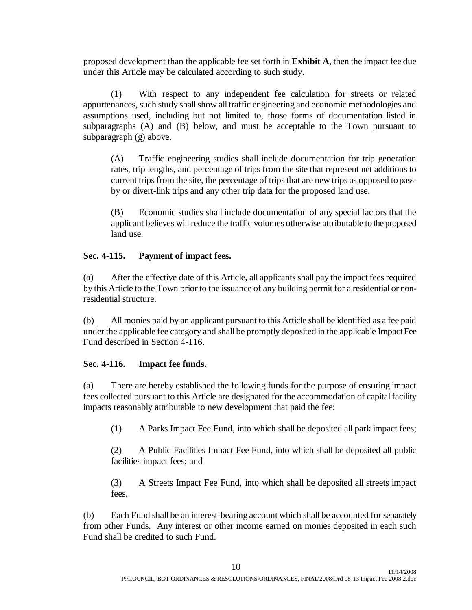proposed development than the applicable fee set forth in **Exhibit A**, then the impact fee due under this Article may be calculated according to such study.

(1) With respect to any independent fee calculation for streets or related appurtenances, such study shall show all traffic engineering and economic methodologies and assumptions used, including but not limited to, those forms of documentation listed in subparagraphs (A) and (B) below, and must be acceptable to the Town pursuant to subparagraph (g) above.

(A) Traffic engineering studies shall include documentation for trip generation rates, trip lengths, and percentage of trips from the site that represent net additions to current trips from the site, the percentage of trips that are new trips as opposed to passby or divert-link trips and any other trip data for the proposed land use.

(B) Economic studies shall include documentation of any special factors that the applicant believes will reduce the traffic volumes otherwise attributable to the proposed land use.

### **Sec. 4-115. Payment of impact fees.**

(a) After the effective date of this Article, all applicants shall pay the impact fees required by this Article to the Town prior to the issuance of any building permit for a residential or nonresidential structure.

(b) All monies paid by an applicant pursuant to this Article shall be identified as a fee paid under the applicable fee category and shall be promptly deposited in the applicable Impact Fee Fund described in Section 4-116.

### **Sec. 4-116. Impact fee funds.**

(a) There are hereby established the following funds for the purpose of ensuring impact fees collected pursuant to this Article are designated for the accommodation of capital facility impacts reasonably attributable to new development that paid the fee:

(1) A Parks Impact Fee Fund, into which shall be deposited all park impact fees;

(2) A Public Facilities Impact Fee Fund, into which shall be deposited all public facilities impact fees; and

(3) A Streets Impact Fee Fund, into which shall be deposited all streets impact fees.

(b) Each Fund shall be an interest-bearing account which shall be accounted for separately from other Funds. Any interest or other income earned on monies deposited in each such Fund shall be credited to such Fund.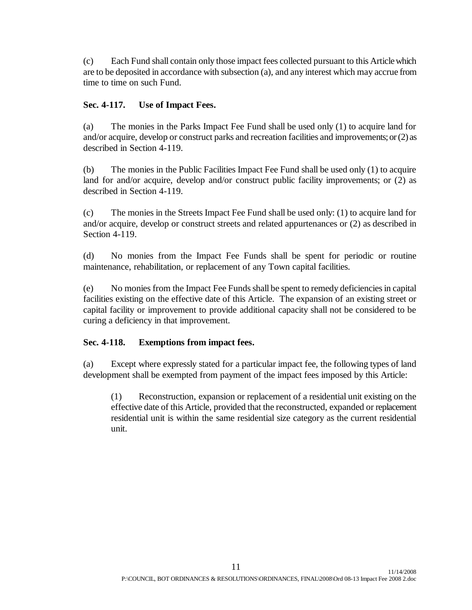(c) Each Fund shall contain only those impact fees collected pursuant to this Article which are to be deposited in accordance with subsection (a), and any interest which may accrue from time to time on such Fund.

### **Sec. 4-117. Use of Impact Fees.**

(a) The monies in the Parks Impact Fee Fund shall be used only (1) to acquire land for and/or acquire, develop or construct parks and recreation facilities and improvements; or (2) as described in Section 4-119.

(b) The monies in the Public Facilities Impact Fee Fund shall be used only (1) to acquire land for and/or acquire, develop and/or construct public facility improvements; or (2) as described in Section 4-119.

(c) The monies in the Streets Impact Fee Fund shall be used only: (1) to acquire land for and/or acquire, develop or construct streets and related appurtenances or (2) as described in Section 4-119.

(d) No monies from the Impact Fee Funds shall be spent for periodic or routine maintenance, rehabilitation, or replacement of any Town capital facilities.

(e) No monies from the Impact Fee Funds shall be spent to remedy deficiencies in capital facilities existing on the effective date of this Article. The expansion of an existing street or capital facility or improvement to provide additional capacity shall not be considered to be curing a deficiency in that improvement.

## **Sec. 4-118. Exemptions from impact fees.**

(a) Except where expressly stated for a particular impact fee, the following types of land development shall be exempted from payment of the impact fees imposed by this Article:

(1) Reconstruction, expansion or replacement of a residential unit existing on the effective date of this Article, provided that the reconstructed, expanded or replacement residential unit is within the same residential size category as the current residential unit.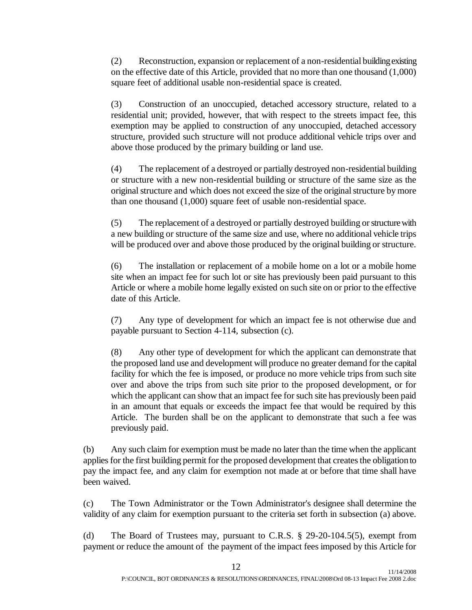(2) Reconstruction, expansion or replacement of a non-residential building existing on the effective date of this Article, provided that no more than one thousand (1,000) square feet of additional usable non-residential space is created.

(3) Construction of an unoccupied, detached accessory structure, related to a residential unit; provided, however, that with respect to the streets impact fee, this exemption may be applied to construction of any unoccupied, detached accessory structure, provided such structure will not produce additional vehicle trips over and above those produced by the primary building or land use.

(4) The replacement of a destroyed or partially destroyed non-residential building or structure with a new non-residential building or structure of the same size as the original structure and which does not exceed the size of the original structure by more than one thousand (1,000) square feet of usable non-residential space.

(5) The replacement of a destroyed or partially destroyed building or structure with a new building or structure of the same size and use, where no additional vehicle trips will be produced over and above those produced by the original building or structure.

(6) The installation or replacement of a mobile home on a lot or a mobile home site when an impact fee for such lot or site has previously been paid pursuant to this Article or where a mobile home legally existed on such site on or prior to the effective date of this Article.

(7) Any type of development for which an impact fee is not otherwise due and payable pursuant to Section 4-114, subsection (c).

(8) Any other type of development for which the applicant can demonstrate that the proposed land use and development will produce no greater demand for the capital facility for which the fee is imposed, or produce no more vehicle trips from such site over and above the trips from such site prior to the proposed development, or for which the applicant can show that an impact fee for such site has previously been paid in an amount that equals or exceeds the impact fee that would be required by this Article. The burden shall be on the applicant to demonstrate that such a fee was previously paid.

(b) Any such claim for exemption must be made no later than the time when the applicant applies for the first building permit for the proposed development that creates the obligation to pay the impact fee, and any claim for exemption not made at or before that time shall have been waived.

(c) The Town Administrator or the Town Administrator's designee shall determine the validity of any claim for exemption pursuant to the criteria set forth in subsection (a) above.

(d) The Board of Trustees may, pursuant to C.R.S. § 29-20-104.5(5), exempt from payment or reduce the amount of the payment of the impact fees imposed by this Article for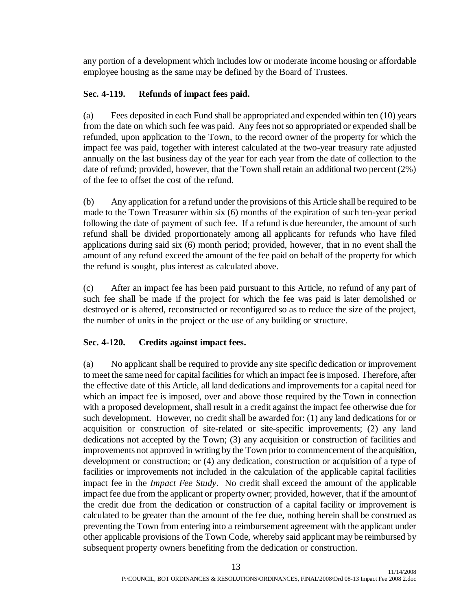any portion of a development which includes low or moderate income housing or affordable employee housing as the same may be defined by the Board of Trustees.

# **Sec. 4-119. Refunds of impact fees paid.**

(a) Fees deposited in each Fund shall be appropriated and expended within ten (10) years from the date on which such fee was paid. Any fees not so appropriated or expended shall be refunded, upon application to the Town, to the record owner of the property for which the impact fee was paid, together with interest calculated at the two-year treasury rate adjusted annually on the last business day of the year for each year from the date of collection to the date of refund; provided, however, that the Town shall retain an additional two percent (2%) of the fee to offset the cost of the refund.

(b) Any application for a refund under the provisions of this Article shall be required to be made to the Town Treasurer within six (6) months of the expiration of such ten-year period following the date of payment of such fee. If a refund is due hereunder, the amount of such refund shall be divided proportionately among all applicants for refunds who have filed applications during said six (6) month period; provided, however, that in no event shall the amount of any refund exceed the amount of the fee paid on behalf of the property for which the refund is sought, plus interest as calculated above.

(c) After an impact fee has been paid pursuant to this Article, no refund of any part of such fee shall be made if the project for which the fee was paid is later demolished or destroyed or is altered, reconstructed or reconfigured so as to reduce the size of the project, the number of units in the project or the use of any building or structure.

## **Sec. 4-120. Credits against impact fees.**

(a) No applicant shall be required to provide any site specific dedication or improvement to meet the same need for capital facilities for which an impact fee is imposed. Therefore, after the effective date of this Article, all land dedications and improvements for a capital need for which an impact fee is imposed, over and above those required by the Town in connection with a proposed development, shall result in a credit against the impact fee otherwise due for such development. However, no credit shall be awarded for: (1) any land dedications for or acquisition or construction of site-related or site-specific improvements; (2) any land dedications not accepted by the Town; (3) any acquisition or construction of facilities and improvements not approved in writing by the Town prior to commencement of the acquisition, development or construction; or (4) any dedication, construction or acquisition of a type of facilities or improvements not included in the calculation of the applicable capital facilities impact fee in the *Impact Fee Study*. No credit shall exceed the amount of the applicable impact fee due from the applicant or property owner; provided, however, that if the amount of the credit due from the dedication or construction of a capital facility or improvement is calculated to be greater than the amount of the fee due, nothing herein shall be construed as preventing the Town from entering into a reimbursement agreement with the applicant under other applicable provisions of the Town Code, whereby said applicant may be reimbursed by subsequent property owners benefiting from the dedication or construction.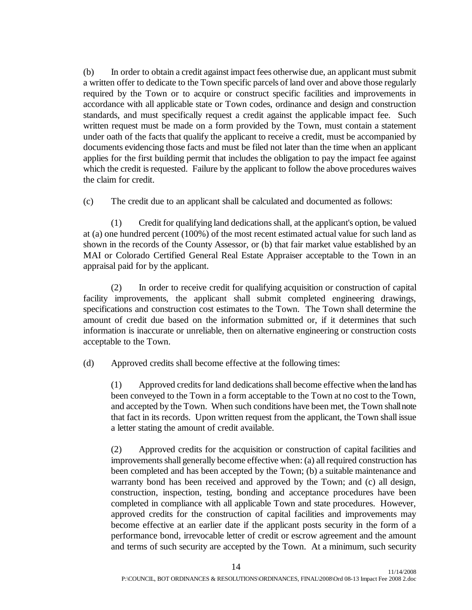(b) In order to obtain a credit against impact fees otherwise due, an applicant must submit a written offer to dedicate to the Town specific parcels of land over and above those regularly required by the Town or to acquire or construct specific facilities and improvements in accordance with all applicable state or Town codes, ordinance and design and construction standards, and must specifically request a credit against the applicable impact fee. Such written request must be made on a form provided by the Town, must contain a statement under oath of the facts that qualify the applicant to receive a credit, must be accompanied by documents evidencing those facts and must be filed not later than the time when an applicant applies for the first building permit that includes the obligation to pay the impact fee against which the credit is requested. Failure by the applicant to follow the above procedures waives the claim for credit.

(c) The credit due to an applicant shall be calculated and documented as follows:

(1) Credit for qualifying land dedications shall, at the applicant's option, be valued at (a) one hundred percent (100%) of the most recent estimated actual value for such land as shown in the records of the County Assessor, or (b) that fair market value established by an MAI or Colorado Certified General Real Estate Appraiser acceptable to the Town in an appraisal paid for by the applicant.

(2) In order to receive credit for qualifying acquisition or construction of capital facility improvements, the applicant shall submit completed engineering drawings, specifications and construction cost estimates to the Town. The Town shall determine the amount of credit due based on the information submitted or, if it determines that such information is inaccurate or unreliable, then on alternative engineering or construction costs acceptable to the Town.

(d) Approved credits shall become effective at the following times:

(1) Approved credits for land dedications shall become effective when the land has been conveyed to the Town in a form acceptable to the Town at no cost to the Town, and accepted by the Town. When such conditions have been met, the Town shall note that fact in its records. Upon written request from the applicant, the Town shall issue a letter stating the amount of credit available.

(2) Approved credits for the acquisition or construction of capital facilities and improvements shall generally become effective when: (a) all required construction has been completed and has been accepted by the Town; (b) a suitable maintenance and warranty bond has been received and approved by the Town; and (c) all design, construction, inspection, testing, bonding and acceptance procedures have been completed in compliance with all applicable Town and state procedures. However, approved credits for the construction of capital facilities and improvements may become effective at an earlier date if the applicant posts security in the form of a performance bond, irrevocable letter of credit or escrow agreement and the amount and terms of such security are accepted by the Town. At a minimum, such security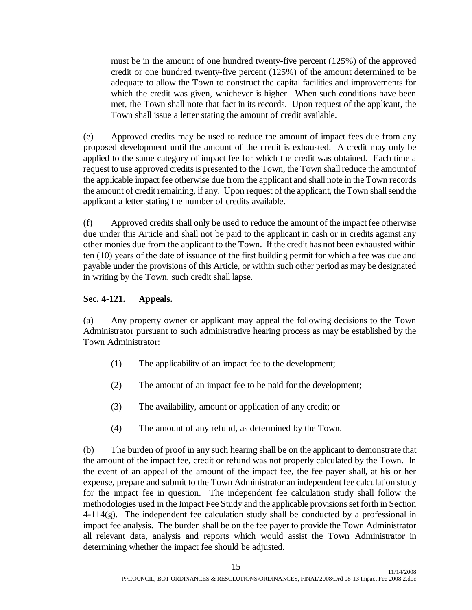must be in the amount of one hundred twenty-five percent (125%) of the approved credit or one hundred twenty-five percent (125%) of the amount determined to be adequate to allow the Town to construct the capital facilities and improvements for which the credit was given, whichever is higher. When such conditions have been met, the Town shall note that fact in its records. Upon request of the applicant, the Town shall issue a letter stating the amount of credit available.

(e) Approved credits may be used to reduce the amount of impact fees due from any proposed development until the amount of the credit is exhausted. A credit may only be applied to the same category of impact fee for which the credit was obtained. Each time a request to use approved credits is presented to the Town, the Town shall reduce the amount of the applicable impact fee otherwise due from the applicant and shall note in the Town records the amount of credit remaining, if any. Upon request of the applicant, the Town shall send the applicant a letter stating the number of credits available.

(f) Approved credits shall only be used to reduce the amount of the impact fee otherwise due under this Article and shall not be paid to the applicant in cash or in credits against any other monies due from the applicant to the Town. If the credit has not been exhausted within ten (10) years of the date of issuance of the first building permit for which a fee was due and payable under the provisions of this Article, or within such other period as may be designated in writing by the Town, such credit shall lapse.

### **Sec. 4-121. Appeals.**

(a) Any property owner or applicant may appeal the following decisions to the Town Administrator pursuant to such administrative hearing process as may be established by the Town Administrator:

- (1) The applicability of an impact fee to the development;
- (2) The amount of an impact fee to be paid for the development;
- (3) The availability, amount or application of any credit; or
- (4) The amount of any refund, as determined by the Town.

(b) The burden of proof in any such hearing shall be on the applicant to demonstrate that the amount of the impact fee, credit or refund was not properly calculated by the Town. In the event of an appeal of the amount of the impact fee, the fee payer shall, at his or her expense, prepare and submit to the Town Administrator an independent fee calculation study for the impact fee in question. The independent fee calculation study shall follow the methodologies used in the Impact Fee Study and the applicable provisions set forth in Section  $4-114(g)$ . The independent fee calculation study shall be conducted by a professional in impact fee analysis. The burden shall be on the fee payer to provide the Town Administrator all relevant data, analysis and reports which would assist the Town Administrator in determining whether the impact fee should be adjusted.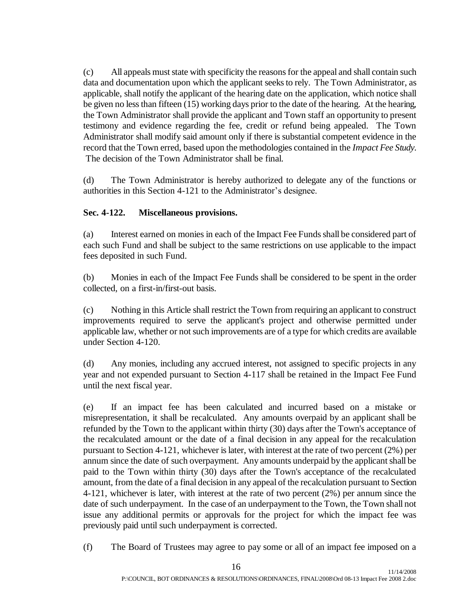(c) All appeals must state with specificity the reasons for the appeal and shall contain such data and documentation upon which the applicant seeks to rely. The Town Administrator, as applicable, shall notify the applicant of the hearing date on the application, which notice shall be given no less than fifteen (15) working days prior to the date of the hearing. At the hearing, the Town Administrator shall provide the applicant and Town staff an opportunity to present testimony and evidence regarding the fee, credit or refund being appealed. The Town Administrator shall modify said amount only if there is substantial competent evidence in the record that the Town erred, based upon the methodologies contained in the *Impact Fee Study*. The decision of the Town Administrator shall be final.

(d) The Town Administrator is hereby authorized to delegate any of the functions or authorities in this Section 4-121 to the Administrator's designee.

## **Sec. 4-122. Miscellaneous provisions.**

(a) Interest earned on monies in each of the Impact Fee Funds shall be considered part of each such Fund and shall be subject to the same restrictions on use applicable to the impact fees deposited in such Fund.

(b) Monies in each of the Impact Fee Funds shall be considered to be spent in the order collected, on a first-in/first-out basis.

(c) Nothing in this Article shall restrict the Town from requiring an applicant to construct improvements required to serve the applicant's project and otherwise permitted under applicable law, whether or not such improvements are of a type for which credits are available under Section 4-120.

(d) Any monies, including any accrued interest, not assigned to specific projects in any year and not expended pursuant to Section 4-117 shall be retained in the Impact Fee Fund until the next fiscal year.

(e) If an impact fee has been calculated and incurred based on a mistake or misrepresentation, it shall be recalculated. Any amounts overpaid by an applicant shall be refunded by the Town to the applicant within thirty (30) days after the Town's acceptance of the recalculated amount or the date of a final decision in any appeal for the recalculation pursuant to Section 4-121, whichever is later, with interest at the rate of two percent (2%) per annum since the date of such overpayment. Any amounts underpaid by the applicant shall be paid to the Town within thirty (30) days after the Town's acceptance of the recalculated amount, from the date of a final decision in any appeal of the recalculation pursuant to Section 4-121, whichever is later, with interest at the rate of two percent (2%) per annum since the date of such underpayment. In the case of an underpayment to the Town, the Town shall not issue any additional permits or approvals for the project for which the impact fee was previously paid until such underpayment is corrected.

(f) The Board of Trustees may agree to pay some or all of an impact fee imposed on a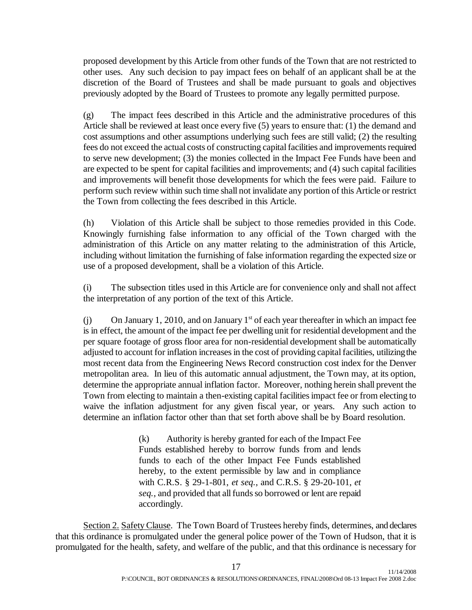proposed development by this Article from other funds of the Town that are not restricted to other uses. Any such decision to pay impact fees on behalf of an applicant shall be at the discretion of the Board of Trustees and shall be made pursuant to goals and objectives previously adopted by the Board of Trustees to promote any legally permitted purpose.

(g) The impact fees described in this Article and the administrative procedures of this Article shall be reviewed at least once every five (5) years to ensure that: (1) the demand and cost assumptions and other assumptions underlying such fees are still valid; (2) the resulting fees do not exceed the actual costs of constructing capital facilities and improvements required to serve new development; (3) the monies collected in the Impact Fee Funds have been and are expected to be spent for capital facilities and improvements; and (4) such capital facilities and improvements will benefit those developments for which the fees were paid. Failure to perform such review within such time shall not invalidate any portion of this Article or restrict the Town from collecting the fees described in this Article.

(h) Violation of this Article shall be subject to those remedies provided in this Code. Knowingly furnishing false information to any official of the Town charged with the administration of this Article on any matter relating to the administration of this Article, including without limitation the furnishing of false information regarding the expected size or use of a proposed development, shall be a violation of this Article.

(i) The subsection titles used in this Article are for convenience only and shall not affect the interpretation of any portion of the text of this Article.

(j) On January 1, 2010, and on January  $1<sup>st</sup>$  of each year thereafter in which an impact fee is in effect, the amount of the impact fee per dwelling unit for residential development and the per square footage of gross floor area for non-residential development shall be automatically adjusted to account for inflation increases in the cost of providing capital facilities, utilizing the most recent data from the Engineering News Record construction cost index for the Denver metropolitan area. In lieu of this automatic annual adjustment, the Town may, at its option, determine the appropriate annual inflation factor. Moreover, nothing herein shall prevent the Town from electing to maintain a then-existing capital facilities impact fee or from electing to waive the inflation adjustment for any given fiscal year, or years. Any such action to determine an inflation factor other than that set forth above shall be by Board resolution.

> (k) Authority is hereby granted for each of the Impact Fee Funds established hereby to borrow funds from and lends funds to each of the other Impact Fee Funds established hereby, to the extent permissible by law and in compliance with C.R.S. § 29-1-801, *et seq.*, and C.R.S. § 29-20-101, *et seq.*, and provided that all funds so borrowed or lent are repaid accordingly.

Section 2. Safety Clause. The Town Board of Trustees hereby finds, determines, and declares that this ordinance is promulgated under the general police power of the Town of Hudson, that it is promulgated for the health, safety, and welfare of the public, and that this ordinance is necessary for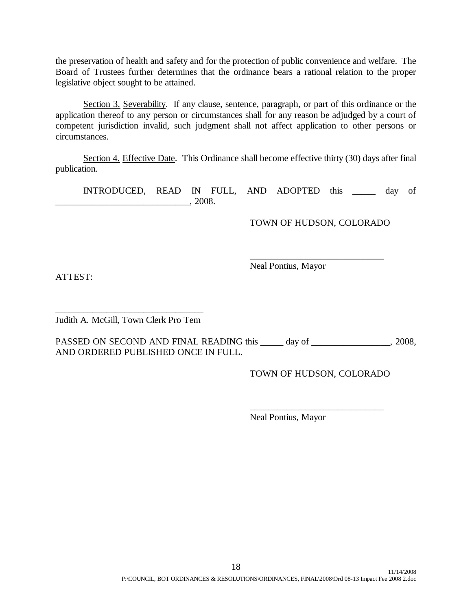the preservation of health and safety and for the protection of public convenience and welfare. The Board of Trustees further determines that the ordinance bears a rational relation to the proper legislative object sought to be attained.

Section 3. Severability. If any clause, sentence, paragraph, or part of this ordinance or the application thereof to any person or circumstances shall for any reason be adjudged by a court of competent jurisdiction invalid, such judgment shall not affect application to other persons or circumstances.

Section 4. Effective Date. This Ordinance shall become effective thirty (30) days after final publication.

INTRODUCED, READ IN FULL, AND ADOPTED this \_\_\_\_\_ day of  $, 2008.$ 

TOWN OF HUDSON, COLORADO

\_\_\_\_\_\_\_\_\_\_\_\_\_\_\_\_\_\_\_\_\_\_\_\_\_\_\_\_\_

Neal Pontius, Mayor

ATTEST:

\_\_\_\_\_\_\_\_\_\_\_\_\_\_\_\_\_\_\_\_\_\_\_\_\_\_\_\_\_\_\_\_ Judith A. McGill, Town Clerk Pro Tem

PASSED ON SECOND AND FINAL READING this \_\_\_\_\_ day of \_\_\_\_\_\_\_\_\_\_\_\_\_\_\_\_, 2008, AND ORDERED PUBLISHED ONCE IN FULL.

TOWN OF HUDSON, COLORADO

\_\_\_\_\_\_\_\_\_\_\_\_\_\_\_\_\_\_\_\_\_\_\_\_\_\_\_\_\_

Neal Pontius, Mayor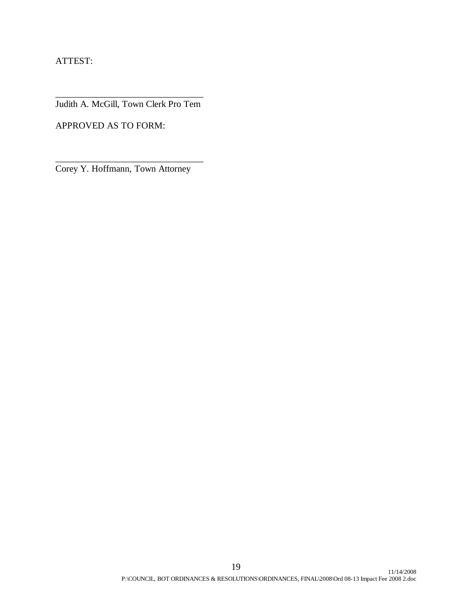ATTEST:

\_\_\_\_\_\_\_\_\_\_\_\_\_\_\_\_\_\_\_\_\_\_\_\_\_\_\_\_\_\_\_\_ Judith A. McGill, Town Clerk Pro Tem

APPROVED AS TO FORM:

Corey Y. Hoffmann, Town Attorney

\_\_\_\_\_\_\_\_\_\_\_\_\_\_\_\_\_\_\_\_\_\_\_\_\_\_\_\_\_\_\_\_